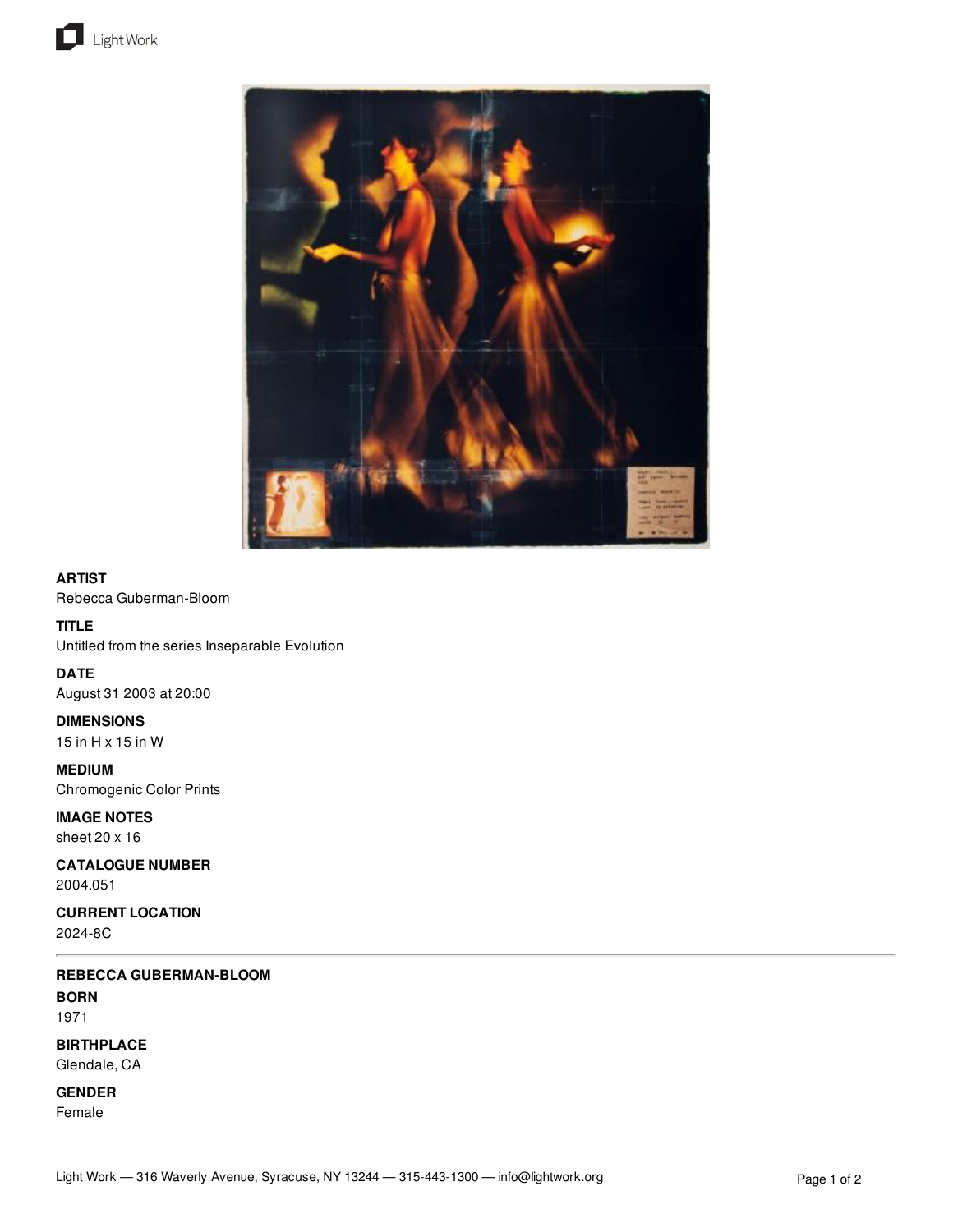



## **ARTIST**

Rebecca Guberman-Bloom

# **TITLE**

Untitled from the series Inseparable Evolution

**DATE** August 31 2003 at 20:00

**DIMENSIONS** 15 in H x 15 in W

**MEDIUM** Chromogenic Color Prints

**IMAGE NOTES** sheet 20 x 16

**CATALOGUE NUMBER** 2004.051

**CURRENT LOCATION** 2024-8C

**REBECCA GUBERMAN-BLOOM BORN** 1971

**BIRTHPLACE** Glendale, CA

**GENDER**

Female